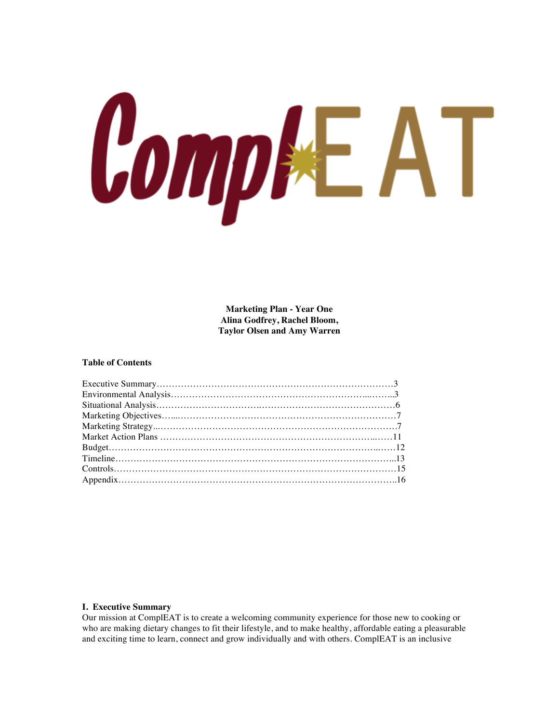

**Marketing Plan - Year One Alina Godfrey, Rachel Bloom, Taylor Olsen and Amy Warren** 

#### **Table of Contents**

#### **I. Executive Summary**

Our mission at ComplEAT is to create a welcoming community experience for those new to cooking or who are making dietary changes to fit their lifestyle, and to make healthy, affordable eating a pleasurable and exciting time to learn, connect and grow individually and with others. ComplEAT is an inclusive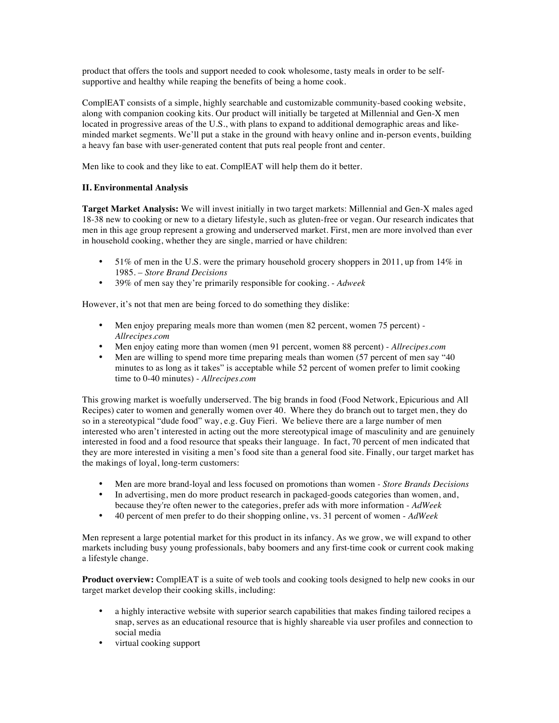product that offers the tools and support needed to cook wholesome, tasty meals in order to be selfsupportive and healthy while reaping the benefits of being a home cook.

ComplEAT consists of a simple, highly searchable and customizable community-based cooking website, along with companion cooking kits. Our product will initially be targeted at Millennial and Gen-X men located in progressive areas of the U.S., with plans to expand to additional demographic areas and likeminded market segments. We'll put a stake in the ground with heavy online and in-person events, building a heavy fan base with user-generated content that puts real people front and center.

Men like to cook and they like to eat. ComplEAT will help them do it better.

# **II. Environmental Analysis**

**Target Market Analysis:** We will invest initially in two target markets: Millennial and Gen-X males aged 18-38 new to cooking or new to a dietary lifestyle, such as gluten-free or vegan. Our research indicates that men in this age group represent a growing and underserved market. First, men are more involved than ever in household cooking, whether they are single, married or have children:

- 51% of men in the U.S. were the primary household grocery shoppers in 2011, up from 14% in 1985. – *Store Brand Decisions*
- 39% of men say they're primarily responsible for cooking. *Adweek*

However, it's not that men are being forced to do something they dislike:

- Men enjoy preparing meals more than women (men 82 percent, women 75 percent) *Allrecipes.com*
- Men enjoy eating more than women (men 91 percent, women 88 percent) *Allrecipes.com*
- Men are willing to spend more time preparing meals than women (57 percent of men say "40 minutes to as long as it takes" is acceptable while 52 percent of women prefer to limit cooking time to 0-40 minutes) - *Allrecipes.com*

This growing market is woefully underserved. The big brands in food (Food Network, Epicurious and All Recipes) cater to women and generally women over 40. Where they do branch out to target men, they do so in a stereotypical "dude food" way, e.g. Guy Fieri. We believe there are a large number of men interested who aren't interested in acting out the more stereotypical image of masculinity and are genuinely interested in food and a food resource that speaks their language. In fact, 70 percent of men indicated that they are more interested in visiting a men's food site than a general food site. Finally, our target market has the makings of loyal, long-term customers:

- Men are more brand-loyal and less focused on promotions than women  *Store Brands Decisions*
- In advertising, men do more product research in packaged-goods categories than women, and, because they're often newer to the categories, prefer ads with more information - *AdWeek*
- 40 percent of men prefer to do their shopping online, vs. 31 percent of women *AdWeek*

Men represent a large potential market for this product in its infancy. As we grow, we will expand to other markets including busy young professionals, baby boomers and any first-time cook or current cook making a lifestyle change.

**Product overview:** ComplEAT is a suite of web tools and cooking tools designed to help new cooks in our target market develop their cooking skills, including:

- a highly interactive website with superior search capabilities that makes finding tailored recipes a snap, serves as an educational resource that is highly shareable via user profiles and connection to social media
- virtual cooking support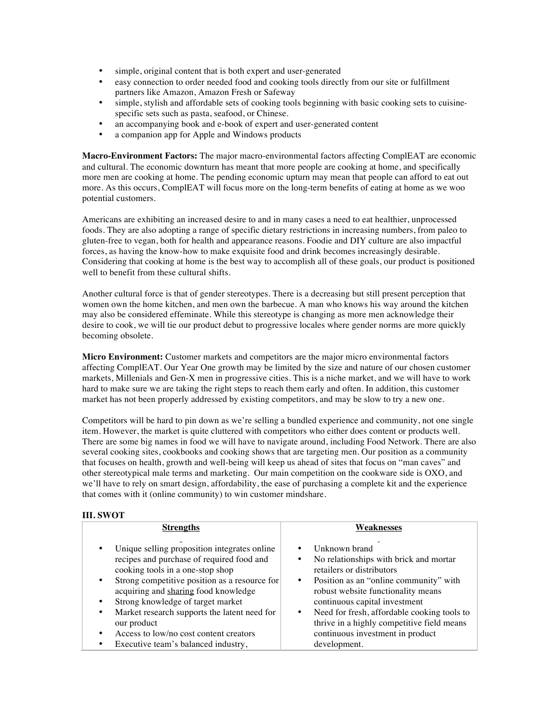- simple, original content that is both expert and user-generated
- easy connection to order needed food and cooking tools directly from our site or fulfillment partners like Amazon, Amazon Fresh or Safeway
- simple, stylish and affordable sets of cooking tools beginning with basic cooking sets to cuisinespecific sets such as pasta, seafood, or Chinese.
- an accompanying book and e-book of expert and user-generated content
- a companion app for Apple and Windows products

**Macro-Environment Factors:** The major macro-environmental factors affecting ComplEAT are economic and cultural. The economic downturn has meant that more people are cooking at home, and specifically more men are cooking at home. The pending economic upturn may mean that people can afford to eat out more. As this occurs, ComplEAT will focus more on the long-term benefits of eating at home as we woo potential customers.

Americans are exhibiting an increased desire to and in many cases a need to eat healthier, unprocessed foods. They are also adopting a range of specific dietary restrictions in increasing numbers, from paleo to gluten-free to vegan, both for health and appearance reasons. Foodie and DIY culture are also impactful forces, as having the know-how to make exquisite food and drink becomes increasingly desirable. Considering that cooking at home is the best way to accomplish all of these goals, our product is positioned well to benefit from these cultural shifts.

Another cultural force is that of gender stereotypes. There is a decreasing but still present perception that women own the home kitchen, and men own the barbecue. A man who knows his way around the kitchen may also be considered effeminate. While this stereotype is changing as more men acknowledge their desire to cook, we will tie our product debut to progressive locales where gender norms are more quickly becoming obsolete.

**Micro Environment:** Customer markets and competitors are the major micro environmental factors affecting ComplEAT. Our Year One growth may be limited by the size and nature of our chosen customer markets, Millenials and Gen-X men in progressive cities. This is a niche market, and we will have to work hard to make sure we are taking the right steps to reach them early and often. In addition, this customer market has not been properly addressed by existing competitors, and may be slow to try a new one.

Competitors will be hard to pin down as we're selling a bundled experience and community, not one single item. However, the market is quite cluttered with competitors who either does content or products well. There are some big names in food we will have to navigate around, including Food Network. There are also several cooking sites, cookbooks and cooking shows that are targeting men. Our position as a community that focuses on health, growth and well-being will keep us ahead of sites that focus on "man caves" and other stereotypical male terms and marketing. Our main competition on the cookware side is OXO, and we'll have to rely on smart design, affordability, the ease of purchasing a complete kit and the experience that comes with it (online community) to win customer mindshare.

## **III. SWOT**

| <b>Strengths</b>                                                                                                                                                                                                                                                                                                                                                                                                                                                  | Weaknesses                                                                                                                                                                                                                                                                                                                                                            |
|-------------------------------------------------------------------------------------------------------------------------------------------------------------------------------------------------------------------------------------------------------------------------------------------------------------------------------------------------------------------------------------------------------------------------------------------------------------------|-----------------------------------------------------------------------------------------------------------------------------------------------------------------------------------------------------------------------------------------------------------------------------------------------------------------------------------------------------------------------|
| Unique selling proposition integrates online<br>$\bullet$<br>recipes and purchase of required food and<br>cooking tools in a one-stop shop<br>Strong competitive position as a resource for<br>٠<br>acquiring and sharing food knowledge<br>Strong knowledge of target market<br>٠<br>Market research supports the latent need for<br>٠<br>our product<br>Access to low/no cost content creators<br>$\bullet$<br>Executive team's balanced industry,<br>$\bullet$ | Unknown brand<br>No relationships with brick and mortar<br>retailers or distributors<br>• Position as an "online community" with<br>robust website functionality means<br>continuous capital investment<br>Need for fresh, affordable cooking tools to<br>$\bullet$<br>thrive in a highly competitive field means<br>continuous investment in product<br>development. |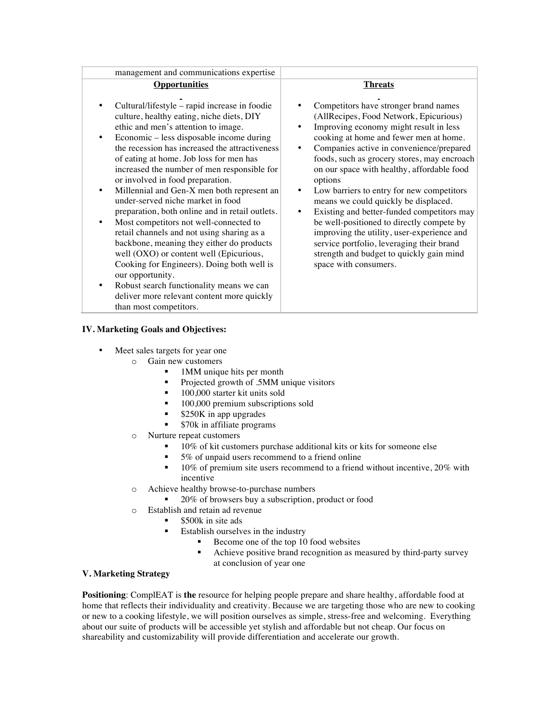| management and communications expertise                                                                                                                                                                                                                                                                                                                                                                                                                                                                                                                                                                                                                                                                                                                                                                                                                                                |                                                                                                                                                                                                                                                                                                                                                                                                                                                                                                                                                                                                                                                                              |
|----------------------------------------------------------------------------------------------------------------------------------------------------------------------------------------------------------------------------------------------------------------------------------------------------------------------------------------------------------------------------------------------------------------------------------------------------------------------------------------------------------------------------------------------------------------------------------------------------------------------------------------------------------------------------------------------------------------------------------------------------------------------------------------------------------------------------------------------------------------------------------------|------------------------------------------------------------------------------------------------------------------------------------------------------------------------------------------------------------------------------------------------------------------------------------------------------------------------------------------------------------------------------------------------------------------------------------------------------------------------------------------------------------------------------------------------------------------------------------------------------------------------------------------------------------------------------|
| <b>Opportunities</b>                                                                                                                                                                                                                                                                                                                                                                                                                                                                                                                                                                                                                                                                                                                                                                                                                                                                   | <b>Threats</b>                                                                                                                                                                                                                                                                                                                                                                                                                                                                                                                                                                                                                                                               |
| Cultural/lifestyle - rapid increase in foodie<br>culture, healthy eating, niche diets, DIY<br>ethic and men's attention to image.<br>Economic – less disposable income during<br>$\bullet$<br>the recession has increased the attractiveness<br>of eating at home. Job loss for men has<br>increased the number of men responsible for<br>or involved in food preparation.<br>Millennial and Gen-X men both represent an<br>under-served niche market in food<br>preparation, both online and in retail outlets.<br>Most competitors not well-connected to<br>retail channels and not using sharing as a<br>backbone, meaning they either do products<br>well (OXO) or content well (Epicurious,<br>Cooking for Engineers). Doing both well is<br>our opportunity.<br>Robust search functionality means we can<br>deliver more relevant content more quickly<br>than most competitors. | Competitors have stronger brand names<br>(AllRecipes, Food Network, Epicurious)<br>Improving economy might result in less<br>cooking at home and fewer men at home.<br>Companies active in convenience/prepared<br>foods, such as grocery stores, may encroach<br>on our space with healthy, affordable food<br>options<br>Low barriers to entry for new competitors<br>means we could quickly be displaced.<br>Existing and better-funded competitors may<br>٠<br>be well-positioned to directly compete by<br>improving the utility, user-experience and<br>service portfolio, leveraging their brand<br>strength and budget to quickly gain mind<br>space with consumers. |

## **IV. Marketing Goals and Objectives:**

- Meet sales targets for year one
	- o Gain new customers
		- 1MM unique hits per month
		- Projected growth of  $.5$ MM unique visitors  $100,000$  starter kit units sold
		- 100,000 starter kit units sold
		- $\blacksquare$  100,000 premium subscriptions sold
		- **S250K** in app upgrades
		- **S70k** in affiliate programs
	- o Nurture repeat customers
		- 10% of kit customers purchase additional kits or kits for someone else
		- 5% of unpaid users recommend to a friend online
		- $10\%$  of premium site users recommend to a friend without incentive, 20% with incentive
	- o Achieve healthy browse-to-purchase numbers
		- 20% of browsers buy a subscription, product or food
	- o Establish and retain ad revenue
		- **S500k** in site ads
			- **Establish ourselves in the industry** 
				- Become one of the top 10 food websites
				- Achieve positive brand recognition as measured by third-party survey at conclusion of year one

#### **V. Marketing Strategy**

**Positioning**: ComplEAT is **the** resource for helping people prepare and share healthy, affordable food at home that reflects their individuality and creativity. Because we are targeting those who are new to cooking or new to a cooking lifestyle, we will position ourselves as simple, stress-free and welcoming. Everything about our suite of products will be accessible yet stylish and affordable but not cheap. Our focus on shareability and customizability will provide differentiation and accelerate our growth.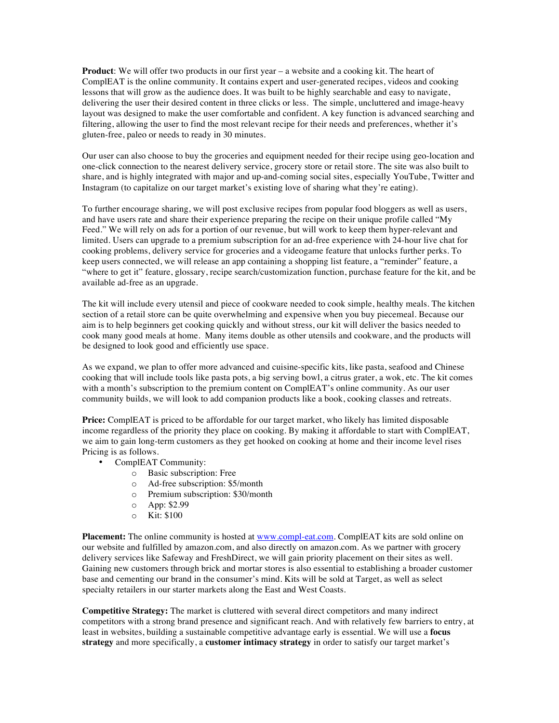**Product**: We will offer two products in our first year – a website and a cooking kit. The heart of ComplEAT is the online community. It contains expert and user-generated recipes, videos and cooking lessons that will grow as the audience does. It was built to be highly searchable and easy to navigate, delivering the user their desired content in three clicks or less. The simple, uncluttered and image-heavy layout was designed to make the user comfortable and confident. A key function is advanced searching and filtering, allowing the user to find the most relevant recipe for their needs and preferences, whether it's gluten-free, paleo or needs to ready in 30 minutes.

Our user can also choose to buy the groceries and equipment needed for their recipe using geo-location and one-click connection to the nearest delivery service, grocery store or retail store. The site was also built to share, and is highly integrated with major and up-and-coming social sites, especially YouTube, Twitter and Instagram (to capitalize on our target market's existing love of sharing what they're eating).

To further encourage sharing, we will post exclusive recipes from popular food bloggers as well as users, and have users rate and share their experience preparing the recipe on their unique profile called "My Feed." We will rely on ads for a portion of our revenue, but will work to keep them hyper-relevant and limited. Users can upgrade to a premium subscription for an ad-free experience with 24-hour live chat for cooking problems, delivery service for groceries and a videogame feature that unlocks further perks. To keep users connected, we will release an app containing a shopping list feature, a "reminder" feature, a "where to get it" feature, glossary, recipe search/customization function, purchase feature for the kit, and be available ad-free as an upgrade.

The kit will include every utensil and piece of cookware needed to cook simple, healthy meals. The kitchen section of a retail store can be quite overwhelming and expensive when you buy piecemeal. Because our aim is to help beginners get cooking quickly and without stress, our kit will deliver the basics needed to cook many good meals at home. Many items double as other utensils and cookware, and the products will be designed to look good and efficiently use space.

As we expand, we plan to offer more advanced and cuisine-specific kits, like pasta, seafood and Chinese cooking that will include tools like pasta pots, a big serving bowl, a citrus grater, a wok, etc. The kit comes with a month's subscription to the premium content on ComplEAT's online community. As our user community builds, we will look to add companion products like a book, cooking classes and retreats.

**Price:** ComplEAT is priced to be affordable for our target market, who likely has limited disposable income regardless of the priority they place on cooking. By making it affordable to start with ComplEAT, we aim to gain long-term customers as they get hooked on cooking at home and their income level rises Pricing is as follows.

- ComplEAT Community:
	- o Basic subscription: Free
	- o Ad-free subscription: \$5/month
	- o Premium subscription: \$30/month
	- o App: \$2.99
	- o Kit: \$100

**Placement:** The online community is hosted at www.compl-eat.com. ComplEAT kits are sold online on our website and fulfilled by amazon.com, and also directly on amazon.com. As we partner with grocery delivery services like Safeway and FreshDirect, we will gain priority placement on their sites as well. Gaining new customers through brick and mortar stores is also essential to establishing a broader customer base and cementing our brand in the consumer's mind. Kits will be sold at Target, as well as select specialty retailers in our starter markets along the East and West Coasts.

**Competitive Strategy:** The market is cluttered with several direct competitors and many indirect competitors with a strong brand presence and significant reach. And with relatively few barriers to entry, at least in websites, building a sustainable competitive advantage early is essential. We will use a **focus strategy** and more specifically, a **customer intimacy strategy** in order to satisfy our target market's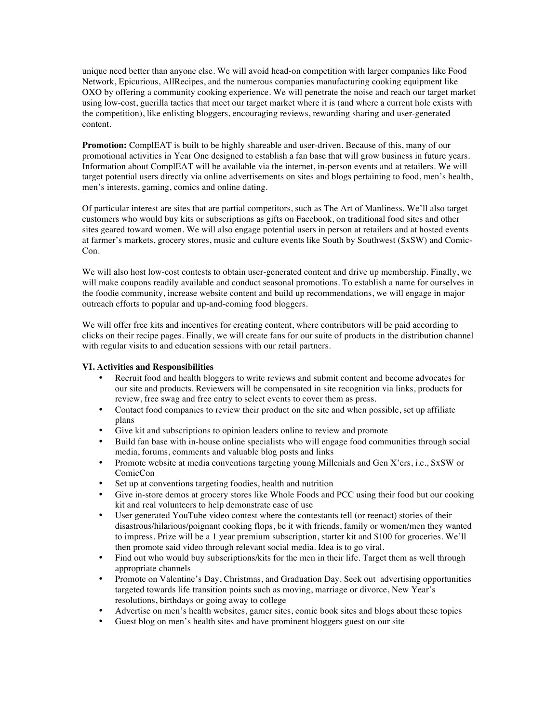unique need better than anyone else. We will avoid head-on competition with larger companies like Food Network, Epicurious, AllRecipes, and the numerous companies manufacturing cooking equipment like OXO by offering a community cooking experience. We will penetrate the noise and reach our target market using low-cost, guerilla tactics that meet our target market where it is (and where a current hole exists with the competition), like enlisting bloggers, encouraging reviews, rewarding sharing and user-generated content.

**Promotion:** ComplEAT is built to be highly shareable and user-driven. Because of this, many of our promotional activities in Year One designed to establish a fan base that will grow business in future years. Information about ComplEAT will be available via the internet, in-person events and at retailers. We will target potential users directly via online advertisements on sites and blogs pertaining to food, men's health, men's interests, gaming, comics and online dating.

Of particular interest are sites that are partial competitors, such as The Art of Manliness. We'll also target customers who would buy kits or subscriptions as gifts on Facebook, on traditional food sites and other sites geared toward women. We will also engage potential users in person at retailers and at hosted events at farmer's markets, grocery stores, music and culture events like South by Southwest (SxSW) and Comic-Con.

We will also host low-cost contests to obtain user-generated content and drive up membership. Finally, we will make coupons readily available and conduct seasonal promotions. To establish a name for ourselves in the foodie community, increase website content and build up recommendations, we will engage in major outreach efforts to popular and up-and-coming food bloggers.

We will offer free kits and incentives for creating content, where contributors will be paid according to clicks on their recipe pages. Finally, we will create fans for our suite of products in the distribution channel with regular visits to and education sessions with our retail partners.

## **VI. Activities and Responsibilities**

- Recruit food and health bloggers to write reviews and submit content and become advocates for our site and products. Reviewers will be compensated in site recognition via links, products for review, free swag and free entry to select events to cover them as press.
- Contact food companies to review their product on the site and when possible, set up affiliate plans
- Give kit and subscriptions to opinion leaders online to review and promote
- Build fan base with in-house online specialists who will engage food communities through social media, forums, comments and valuable blog posts and links
- Promote website at media conventions targeting young Millenials and Gen X'ers, i.e., SxSW or ComicCon
- Set up at conventions targeting foodies, health and nutrition
- Give in-store demos at grocery stores like Whole Foods and PCC using their food but our cooking kit and real volunteers to help demonstrate ease of use
- User generated YouTube video contest where the contestants tell (or reenact) stories of their disastrous/hilarious/poignant cooking flops, be it with friends, family or women/men they wanted to impress. Prize will be a 1 year premium subscription, starter kit and \$100 for groceries. We'll then promote said video through relevant social media. Idea is to go viral.
- Find out who would buy subscriptions/kits for the men in their life. Target them as well through appropriate channels
- Promote on Valentine's Day, Christmas, and Graduation Day. Seek out advertising opportunities targeted towards life transition points such as moving, marriage or divorce, New Year's resolutions, birthdays or going away to college
- Advertise on men's health websites, gamer sites, comic book sites and blogs about these topics
- Guest blog on men's health sites and have prominent bloggers guest on our site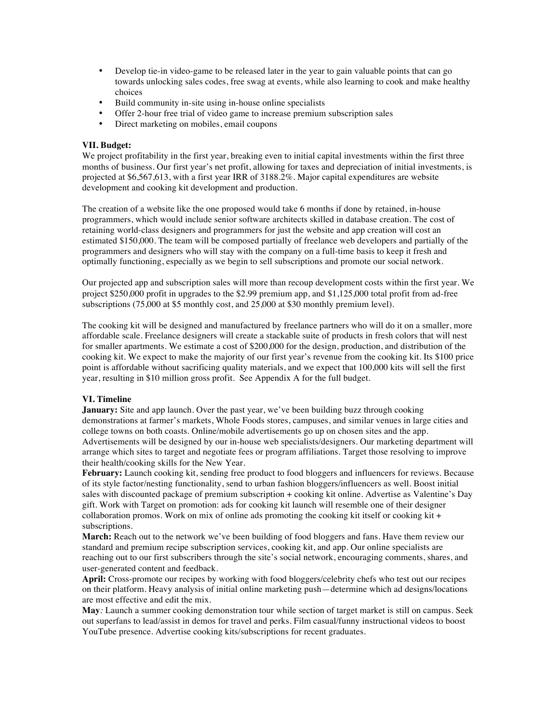- Develop tie-in video-game to be released later in the year to gain valuable points that can go towards unlocking sales codes, free swag at events, while also learning to cook and make healthy choices
- Build community in-site using in-house online specialists
- Offer 2-hour free trial of video game to increase premium subscription sales
- Direct marketing on mobiles, email coupons

#### **VII. Budget:**

We project profitability in the first year, breaking even to initial capital investments within the first three months of business. Our first year's net profit, allowing for taxes and depreciation of initial investments, is projected at \$6,567,613, with a first year IRR of 3188.2%. Major capital expenditures are website development and cooking kit development and production.

The creation of a website like the one proposed would take 6 months if done by retained, in-house programmers, which would include senior software architects skilled in database creation. The cost of retaining world-class designers and programmers for just the website and app creation will cost an estimated \$150,000. The team will be composed partially of freelance web developers and partially of the programmers and designers who will stay with the company on a full-time basis to keep it fresh and optimally functioning, especially as we begin to sell subscriptions and promote our social network.

Our projected app and subscription sales will more than recoup development costs within the first year. We project \$250,000 profit in upgrades to the \$2.99 premium app, and \$1,125,000 total profit from ad-free subscriptions (75,000 at \$5 monthly cost, and 25,000 at \$30 monthly premium level).

The cooking kit will be designed and manufactured by freelance partners who will do it on a smaller, more affordable scale. Freelance designers will create a stackable suite of products in fresh colors that will nest for smaller apartments. We estimate a cost of \$200,000 for the design, production, and distribution of the cooking kit. We expect to make the majority of our first year's revenue from the cooking kit. Its \$100 price point is affordable without sacrificing quality materials, and we expect that 100,000 kits will sell the first year, resulting in \$10 million gross profit. See Appendix A for the full budget.

#### **VI. Timeline**

**January:** Site and app launch. Over the past year, we've been building buzz through cooking demonstrations at farmer's markets, Whole Foods stores, campuses, and similar venues in large cities and college towns on both coasts. Online/mobile advertisements go up on chosen sites and the app. Advertisements will be designed by our in-house web specialists/designers. Our marketing department will arrange which sites to target and negotiate fees or program affiliations. Target those resolving to improve their health/cooking skills for the New Year.

**February:** Launch cooking kit, sending free product to food bloggers and influencers for reviews. Because of its style factor/nesting functionality, send to urban fashion bloggers/influencers as well. Boost initial sales with discounted package of premium subscription + cooking kit online. Advertise as Valentine's Day gift. Work with Target on promotion: ads for cooking kit launch will resemble one of their designer collaboration promos. Work on mix of online ads promoting the cooking kit itself or cooking kit  $+$ subscriptions.

**March:** Reach out to the network we've been building of food bloggers and fans. Have them review our standard and premium recipe subscription services, cooking kit, and app. Our online specialists are reaching out to our first subscribers through the site's social network, encouraging comments, shares, and user-generated content and feedback.

**April:** Cross-promote our recipes by working with food bloggers/celebrity chefs who test out our recipes on their platform. Heavy analysis of initial online marketing push—determine which ad designs/locations are most effective and edit the mix.

**May***:* Launch a summer cooking demonstration tour while section of target market is still on campus. Seek out superfans to lead/assist in demos for travel and perks. Film casual/funny instructional videos to boost YouTube presence. Advertise cooking kits/subscriptions for recent graduates.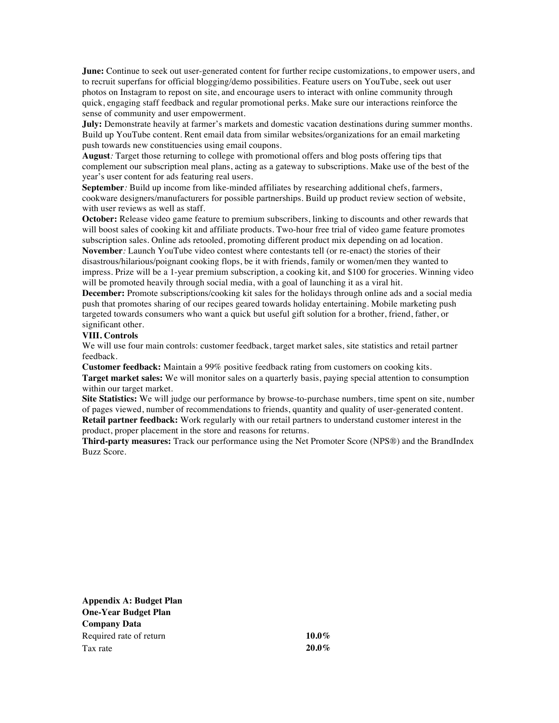**June:** Continue to seek out user-generated content for further recipe customizations, to empower users, and to recruit superfans for official blogging/demo possibilities. Feature users on YouTube, seek out user photos on Instagram to repost on site, and encourage users to interact with online community through quick, engaging staff feedback and regular promotional perks. Make sure our interactions reinforce the sense of community and user empowerment.

**July:** Demonstrate heavily at farmer's markets and domestic vacation destinations during summer months. Build up YouTube content. Rent email data from similar websites/organizations for an email marketing push towards new constituencies using email coupons.

**August***:* Target those returning to college with promotional offers and blog posts offering tips that complement our subscription meal plans, acting as a gateway to subscriptions. Make use of the best of the year's user content for ads featuring real users.

**September***:* Build up income from like-minded affiliates by researching additional chefs, farmers, cookware designers/manufacturers for possible partnerships. Build up product review section of website, with user reviews as well as staff.

**October:** Release video game feature to premium subscribers, linking to discounts and other rewards that will boost sales of cooking kit and affiliate products. Two-hour free trial of video game feature promotes subscription sales. Online ads retooled, promoting different product mix depending on ad location. **November***:* Launch YouTube video contest where contestants tell (or re-enact) the stories of their disastrous/hilarious/poignant cooking flops, be it with friends, family or women/men they wanted to impress. Prize will be a 1-year premium subscription, a cooking kit, and \$100 for groceries. Winning video

will be promoted heavily through social media, with a goal of launching it as a viral hit. **December:** Promote subscriptions/cooking kit sales for the holidays through online ads and a social media push that promotes sharing of our recipes geared towards holiday entertaining. Mobile marketing push targeted towards consumers who want a quick but useful gift solution for a brother, friend, father, or significant other.

#### **VIII. Controls**

We will use four main controls: customer feedback, target market sales, site statistics and retail partner feedback.

**Customer feedback:** Maintain a 99% positive feedback rating from customers on cooking kits. **Target market sales:** We will monitor sales on a quarterly basis, paying special attention to consumption within our target market.

**Site Statistics:** We will judge our performance by browse-to-purchase numbers, time spent on site, number of pages viewed, number of recommendations to friends, quantity and quality of user-generated content. **Retail partner feedback:** Work regularly with our retail partners to understand customer interest in the product, proper placement in the store and reasons for returns.

**Third-party measures:** Track our performance using the Net Promoter Score (NPS®) and the BrandIndex Buzz Score.

**Appendix A: Budget Plan One-Year Budget Plan Company Data** Required rate of return **10.0%** Tax rate **20.0%**